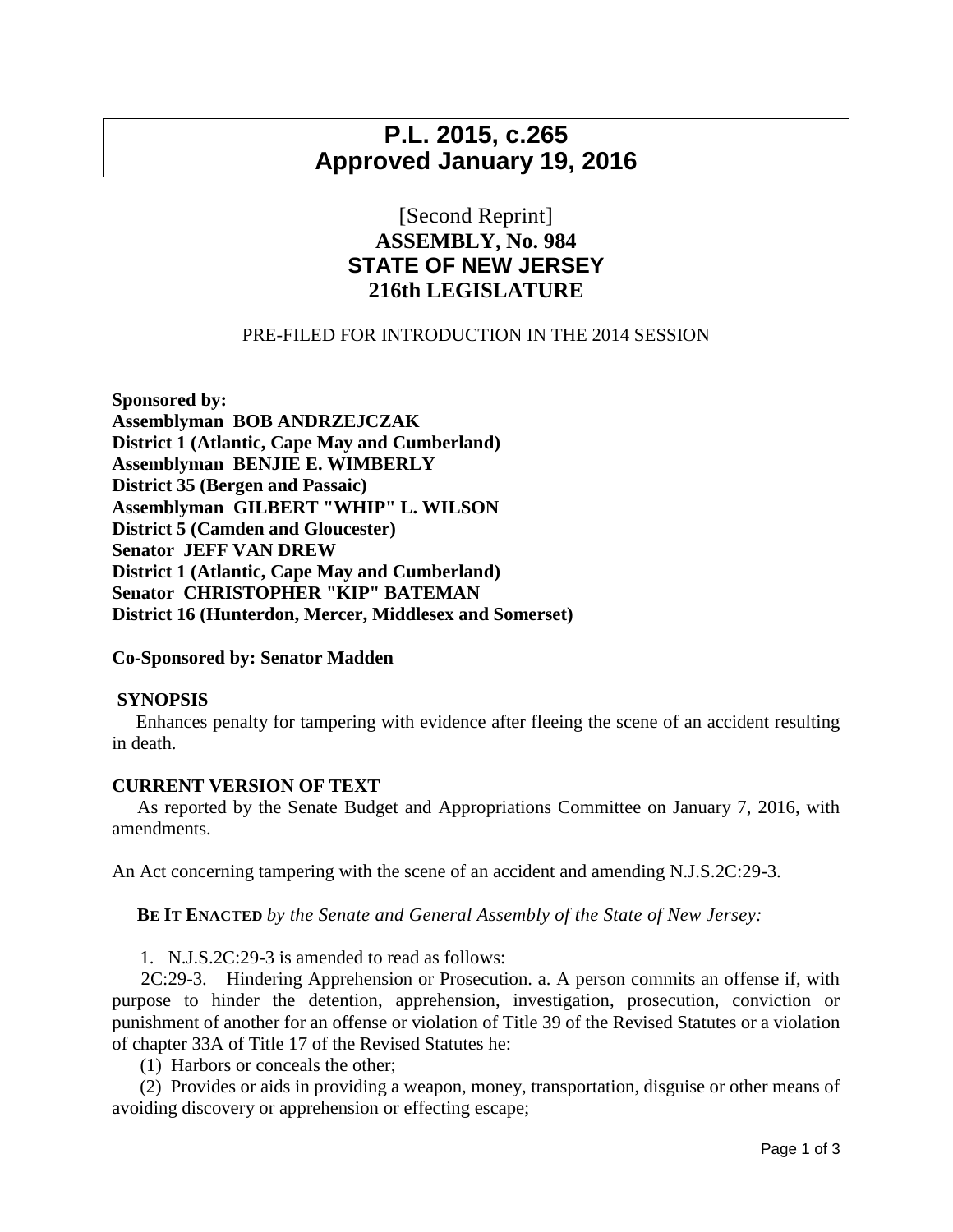# **P.L. 2015, c.265 Approved January 19, 2016**

## [Second Reprint] **ASSEMBLY, No. 984 STATE OF NEW JERSEY 216th LEGISLATURE**

### PRE-FILED FOR INTRODUCTION IN THE 2014 SESSION

**Sponsored by: Assemblyman BOB ANDRZEJCZAK District 1 (Atlantic, Cape May and Cumberland) Assemblyman BENJIE E. WIMBERLY District 35 (Bergen and Passaic) Assemblyman GILBERT "WHIP" L. WILSON District 5 (Camden and Gloucester) Senator JEFF VAN DREW District 1 (Atlantic, Cape May and Cumberland) Senator CHRISTOPHER "KIP" BATEMAN District 16 (Hunterdon, Mercer, Middlesex and Somerset)**

#### **Co-Sponsored by: Senator Madden**

#### **SYNOPSIS**

 Enhances penalty for tampering with evidence after fleeing the scene of an accident resulting in death.

#### **CURRENT VERSION OF TEXT**

 As reported by the Senate Budget and Appropriations Committee on January 7, 2016, with amendments.

An Act concerning tampering with the scene of an accident and amending N.J.S.2C:29-3.

**BE IT ENACTED** *by the Senate and General Assembly of the State of New Jersey:*

1. N.J.S.2C:29-3 is amended to read as follows:

 2C:29-3. Hindering Apprehension or Prosecution. a. A person commits an offense if, with purpose to hinder the detention, apprehension, investigation, prosecution, conviction or punishment of another for an offense or violation of Title 39 of the Revised Statutes or a violation of chapter 33A of Title 17 of the Revised Statutes he:

(1) Harbors or conceals the other;

 (2) Provides or aids in providing a weapon, money, transportation, disguise or other means of avoiding discovery or apprehension or effecting escape;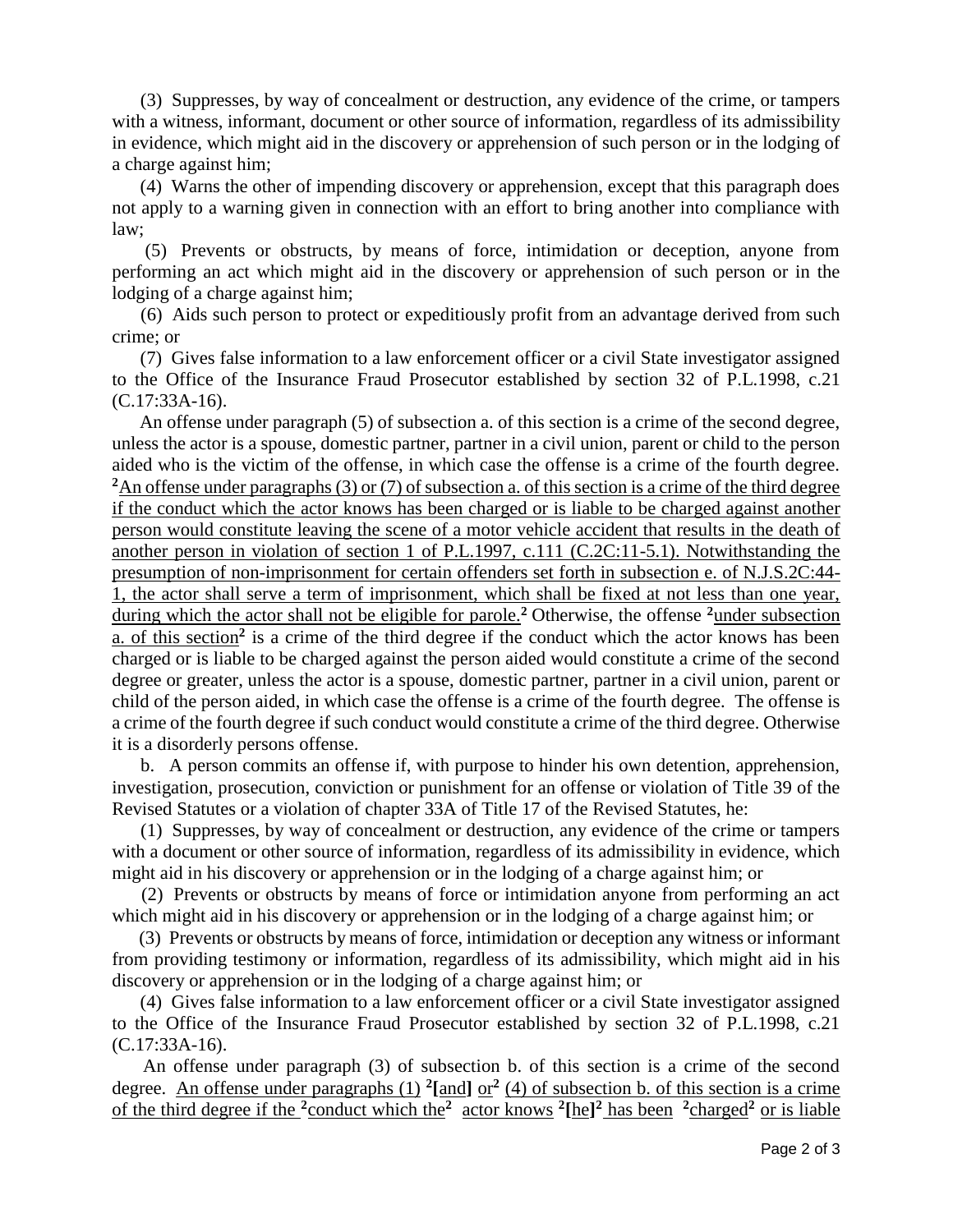(3) Suppresses, by way of concealment or destruction, any evidence of the crime, or tampers with a witness, informant, document or other source of information, regardless of its admissibility in evidence, which might aid in the discovery or apprehension of such person or in the lodging of a charge against him;

 (4) Warns the other of impending discovery or apprehension, except that this paragraph does not apply to a warning given in connection with an effort to bring another into compliance with law;

 (5) Prevents or obstructs, by means of force, intimidation or deception, anyone from performing an act which might aid in the discovery or apprehension of such person or in the lodging of a charge against him;

 (6) Aids such person to protect or expeditiously profit from an advantage derived from such crime; or

 (7) Gives false information to a law enforcement officer or a civil State investigator assigned to the Office of the Insurance Fraud Prosecutor established by section 32 of P.L.1998, c.21 (C.17:33A-16).

 An offense under paragraph (5) of subsection a. of this section is a crime of the second degree, unless the actor is a spouse, domestic partner, partner in a civil union, parent or child to the person aided who is the victim of the offense, in which case the offense is a crime of the fourth degree. **<sup>2</sup>**An offense under paragraphs (3) or (7) of subsection a. of this section is a crime of the third degree if the conduct which the actor knows has been charged or is liable to be charged against another person would constitute leaving the scene of a motor vehicle accident that results in the death of another person in violation of section 1 of P.L.1997, c.111 (C.2C:11-5.1). Notwithstanding the presumption of non-imprisonment for certain offenders set forth in subsection e. of N.J.S.2C:44- 1, the actor shall serve a term of imprisonment, which shall be fixed at not less than one year, during which the actor shall not be eligible for parole.<sup>2</sup> Otherwise, the offense <sup>2</sup>under subsection a. of this section<sup>2</sup> is a crime of the third degree if the conduct which the actor knows has been charged or is liable to be charged against the person aided would constitute a crime of the second degree or greater, unless the actor is a spouse, domestic partner, partner in a civil union, parent or child of the person aided, in which case the offense is a crime of the fourth degree. The offense is a crime of the fourth degree if such conduct would constitute a crime of the third degree. Otherwise it is a disorderly persons offense.

 b. A person commits an offense if, with purpose to hinder his own detention, apprehension, investigation, prosecution, conviction or punishment for an offense or violation of Title 39 of the Revised Statutes or a violation of chapter 33A of Title 17 of the Revised Statutes, he:

 (1) Suppresses, by way of concealment or destruction, any evidence of the crime or tampers with a document or other source of information, regardless of its admissibility in evidence, which might aid in his discovery or apprehension or in the lodging of a charge against him; or

 (2) Prevents or obstructs by means of force or intimidation anyone from performing an act which might aid in his discovery or apprehension or in the lodging of a charge against him; or

 (3) Prevents or obstructs by means of force, intimidation or deception any witness or informant from providing testimony or information, regardless of its admissibility, which might aid in his discovery or apprehension or in the lodging of a charge against him; or

 (4) Gives false information to a law enforcement officer or a civil State investigator assigned to the Office of the Insurance Fraud Prosecutor established by section 32 of P.L.1998, c.21 (C.17:33A-16).

 An offense under paragraph (3) of subsection b. of this section is a crime of the second degree. An offense under paragraphs  $(1)$  <sup>2</sup>[and] or<sup>2</sup>  $(4)$  of subsection b. of this section is a crime of the third degree if the **<sup>2</sup>**conduct which the**<sup>2</sup>** actor knows **<sup>2</sup> [**he**] <sup>2</sup>** has been **<sup>2</sup>**charged**<sup>2</sup>** or is liable